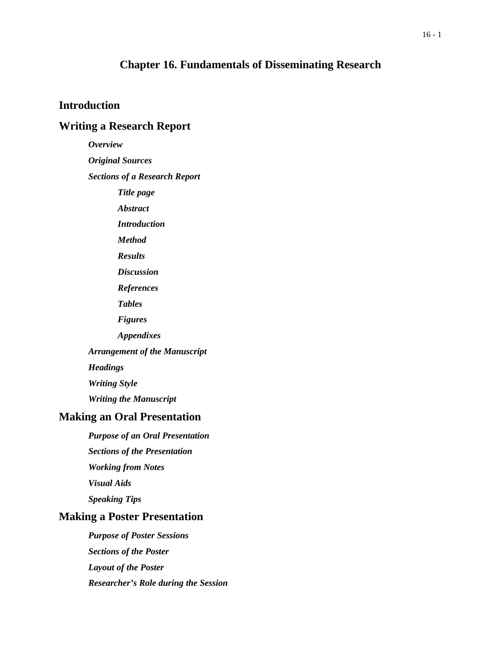# **Chapter 16. Fundamentals of Disseminating Research**

# **Introduction**

# **Writing a Research Report**

*Overview Original Sources Sections of a Research Report Title page Abstract Introduction Method Results Discussion References Tables Figures Appendixes Arrangement of the Manuscript Headings Writing Style Writing the Manuscript*

# **Making an Oral Presentation**

*Purpose of an Oral Presentation Sections of the Presentation Working from Notes Visual Aids Speaking Tips*

# **Making a Poster Presentation**

*Purpose of Poster Sessions Sections of the Poster Layout of the Poster Researcher's Role during the Session*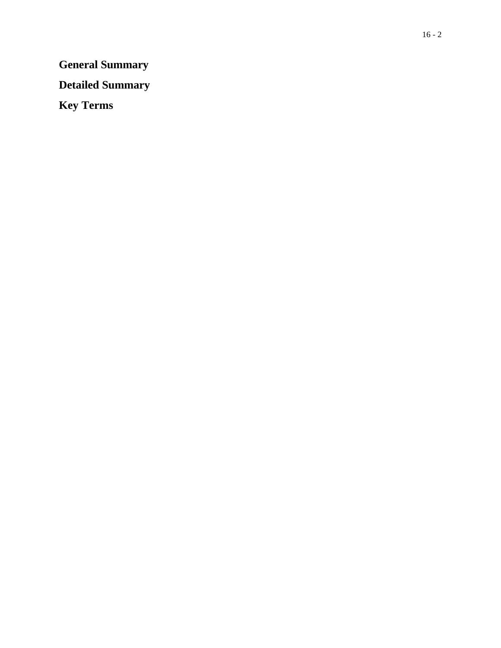**General Summary**

**Detailed Summary**

**Key Terms**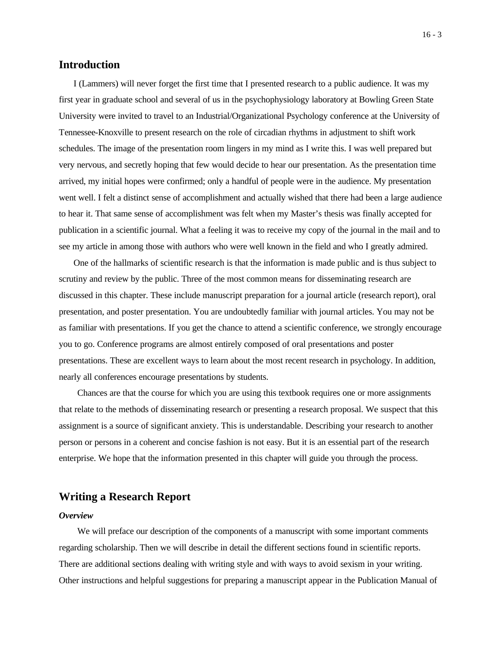## **Introduction**

I (Lammers) will never forget the first time that I presented research to a public audience. It was my first year in graduate school and several of us in the psychophysiology laboratory at Bowling Green State University were invited to travel to an Industrial/Organizational Psychology conference at the University of Tennessee-Knoxville to present research on the role of circadian rhythms in adjustment to shift work schedules. The image of the presentation room lingers in my mind as I write this. I was well prepared but very nervous, and secretly hoping that few would decide to hear our presentation. As the presentation time arrived, my initial hopes were confirmed; only a handful of people were in the audience. My presentation went well. I felt a distinct sense of accomplishment and actually wished that there had been a large audience to hear it. That same sense of accomplishment was felt when my Master's thesis was finally accepted for publication in a scientific journal. What a feeling it was to receive my copy of the journal in the mail and to see my article in among those with authors who were well known in the field and who I greatly admired.

One of the hallmarks of scientific research is that the information is made public and is thus subject to scrutiny and review by the public. Three of the most common means for disseminating research are discussed in this chapter. These include manuscript preparation for a journal article (research report), oral presentation, and poster presentation. You are undoubtedly familiar with journal articles. You may not be as familiar with presentations. If you get the chance to attend a scientific conference, we strongly encourage you to go. Conference programs are almost entirely composed of oral presentations and poster presentations. These are excellent ways to learn about the most recent research in psychology. In addition, nearly all conferences encourage presentations by students.

Chances are that the course for which you are using this textbook requires one or more assignments that relate to the methods of disseminating research or presenting a research proposal. We suspect that this assignment is a source of significant anxiety. This is understandable. Describing your research to another person or persons in a coherent and concise fashion is not easy. But it is an essential part of the research enterprise. We hope that the information presented in this chapter will guide you through the process.

## **Writing a Research Report**

## *Overview*

We will preface our description of the components of a manuscript with some important comments regarding scholarship. Then we will describe in detail the different sections found in scientific reports. There are additional sections dealing with writing style and with ways to avoid sexism in your writing. Other instructions and helpful suggestions for preparing a manuscript appear in the Publication Manual of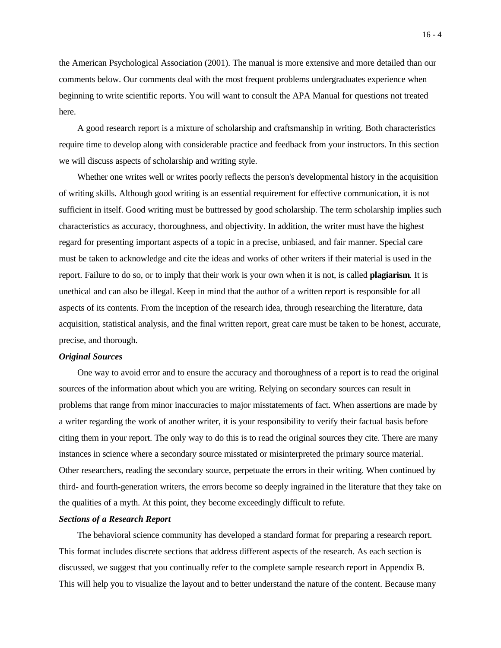the American Psychological Association (2001). The manual is more extensive and more detailed than our comments below. Our comments deal with the most frequent problems undergraduates experience when beginning to write scientific reports. You will want to consult the APA Manual for questions not treated here.

A good research report is a mixture of scholarship and craftsmanship in writing. Both characteristics require time to develop along with considerable practice and feedback from your instructors. In this section we will discuss aspects of scholarship and writing style.

Whether one writes well or writes poorly reflects the person's developmental history in the acquisition of writing skills. Although good writing is an essential requirement for effective communication, it is not sufficient in itself. Good writing must be buttressed by good scholarship. The term scholarship implies such characteristics as accuracy, thoroughness, and objectivity. In addition, the writer must have the highest regard for presenting important aspects of a topic in a precise, unbiased, and fair manner. Special care must be taken to acknowledge and cite the ideas and works of other writers if their material is used in the report. Failure to do so, or to imply that their work is your own when it is not, is called **plagiarism***.* It is unethical and can also be illegal. Keep in mind that the author of a written report is responsible for all aspects of its contents. From the inception of the research idea, through researching the literature, data acquisition, statistical analysis, and the final written report, great care must be taken to be honest, accurate, precise, and thorough.

#### *Original Sources*

One way to avoid error and to ensure the accuracy and thoroughness of a report is to read the original sources of the information about which you are writing. Relying on secondary sources can result in problems that range from minor inaccuracies to major misstatements of fact. When assertions are made by a writer regarding the work of another writer, it is your responsibility to verify their factual basis before citing them in your report. The only way to do this is to read the original sources they cite. There are many instances in science where a secondary source misstated or misinterpreted the primary source material. Other researchers, reading the secondary source, perpetuate the errors in their writing. When continued by third- and fourth-generation writers, the errors become so deeply ingrained in the literature that they take on the qualities of a myth. At this point, they become exceedingly difficult to refute.

## *Sections of a Research Report*

The behavioral science community has developed a standard format for preparing a research report. This format includes discrete sections that address different aspects of the research. As each section is discussed, we suggest that you continually refer to the complete sample research report in Appendix B. This will help you to visualize the layout and to better understand the nature of the content. Because many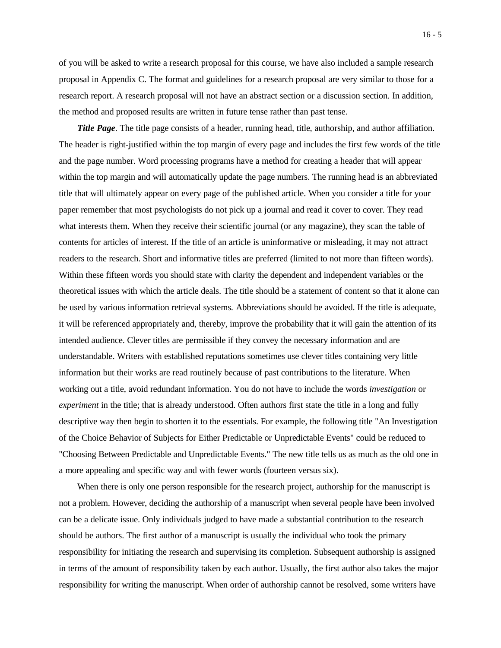of you will be asked to write a research proposal for this course, we have also included a sample research proposal in Appendix C. The format and guidelines for a research proposal are very similar to those for a research report. A research proposal will not have an abstract section or a discussion section. In addition, the method and proposed results are written in future tense rather than past tense.

*Title Page*. The title page consists of a header, running head, title, authorship, and author affiliation. The header is right-justified within the top margin of every page and includes the first few words of the title and the page number. Word processing programs have a method for creating a header that will appear within the top margin and will automatically update the page numbers. The running head is an abbreviated title that will ultimately appear on every page of the published article. When you consider a title for your paper remember that most psychologists do not pick up a journal and read it cover to cover. They read what interests them. When they receive their scientific journal (or any magazine), they scan the table of contents for articles of interest. If the title of an article is uninformative or misleading, it may not attract readers to the research. Short and informative titles are preferred (limited to not more than fifteen words). Within these fifteen words you should state with clarity the dependent and independent variables or the theoretical issues with which the article deals. The title should be a statement of content so that it alone can be used by various information retrieval systems*.* Abbreviations should be avoided. If the title is adequate, it will be referenced appropriately and, thereby, improve the probability that it will gain the attention of its intended audience. Clever titles are permissible if they convey the necessary information and are understandable. Writers with established reputations sometimes use clever titles containing very little information but their works are read routinely because of past contributions to the literature. When working out a title, avoid redundant information. You do not have to include the words *investigation* or *experiment* in the title; that is already understood. Often authors first state the title in a long and fully descriptive way then begin to shorten it to the essentials. For example, the following title "An Investigation of the Choice Behavior of Subjects for Either Predictable or Unpredictable Events" could be reduced to "Choosing Between Predictable and Unpredictable Events." The new title tells us as much as the old one in a more appealing and specific way and with fewer words (fourteen versus six).

When there is only one person responsible for the research project, authorship for the manuscript is not a problem. However, deciding the authorship of a manuscript when several people have been involved can be a delicate issue. Only individuals judged to have made a substantial contribution to the research should be authors. The first author of a manuscript is usually the individual who took the primary responsibility for initiating the research and supervising its completion. Subsequent authorship is assigned in terms of the amount of responsibility taken by each author. Usually, the first author also takes the major responsibility for writing the manuscript. When order of authorship cannot be resolved, some writers have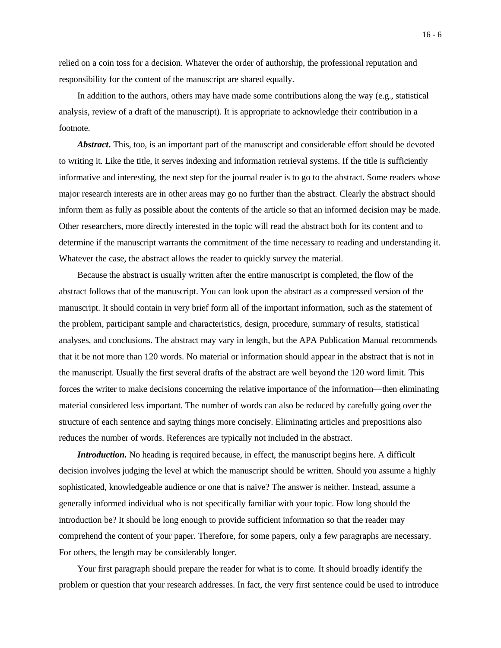relied on a coin toss for a decision. Whatever the order of authorship, the professional reputation and responsibility for the content of the manuscript are shared equally.

In addition to the authors, others may have made some contributions along the way (e.g., statistical analysis, review of a draft of the manuscript). It is appropriate to acknowledge their contribution in a footnote.

*Abstract***.** This, too, is an important part of the manuscript and considerable effort should be devoted to writing it. Like the title, it serves indexing and information retrieval systems. If the title is sufficiently informative and interesting, the next step for the journal reader is to go to the abstract. Some readers whose major research interests are in other areas may go no further than the abstract. Clearly the abstract should inform them as fully as possible about the contents of the article so that an informed decision may be made. Other researchers, more directly interested in the topic will read the abstract both for its content and to determine if the manuscript warrants the commitment of the time necessary to reading and understanding it. Whatever the case, the abstract allows the reader to quickly survey the material.

Because the abstract is usually written after the entire manuscript is completed, the flow of the abstract follows that of the manuscript. You can look upon the abstract as a compressed version of the manuscript. It should contain in very brief form all of the important information, such as the statement of the problem, participant sample and characteristics, design, procedure, summary of results, statistical analyses, and conclusions. The abstract may vary in length, but the APA Publication Manual recommends that it be not more than 120 words. No material or information should appear in the abstract that is not in the manuscript. Usually the first several drafts of the abstract are well beyond the 120 word limit. This forces the writer to make decisions concerning the relative importance of the information—then eliminating material considered less important. The number of words can also be reduced by carefully going over the structure of each sentence and saying things more concisely. Eliminating articles and prepositions also reduces the number of words. References are typically not included in the abstract.

*Introduction***.** No heading is required because, in effect, the manuscript begins here. A difficult decision involves judging the level at which the manuscript should be written. Should you assume a highly sophisticated, knowledgeable audience or one that is naive? The answer is neither. Instead, assume a generally informed individual who is not specifically familiar with your topic. How long should the introduction be? It should be long enough to provide sufficient information so that the reader may comprehend the content of your paper. Therefore, for some papers, only a few paragraphs are necessary. For others, the length may be considerably longer.

Your first paragraph should prepare the reader for what is to come. It should broadly identify the problem or question that your research addresses. In fact, the very first sentence could be used to introduce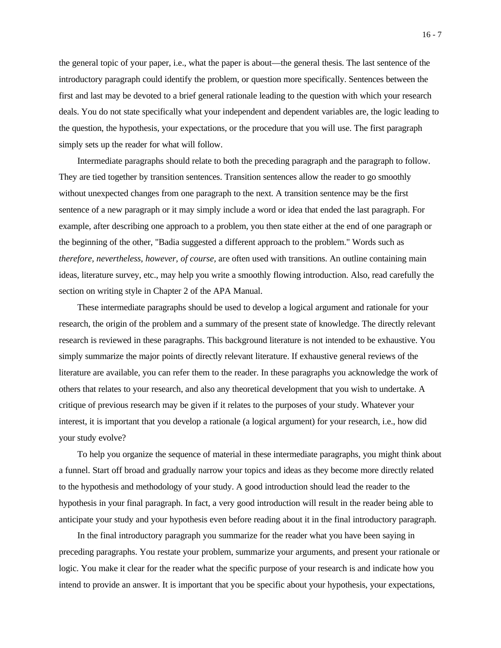the general topic of your paper, i.e., what the paper is about—the general thesis. The last sentence of the introductory paragraph could identify the problem, or question more specifically. Sentences between the first and last may be devoted to a brief general rationale leading to the question with which your research deals. You do not state specifically what your independent and dependent variables are, the logic leading to the question, the hypothesis, your expectations, or the procedure that you will use. The first paragraph simply sets up the reader for what will follow.

Intermediate paragraphs should relate to both the preceding paragraph and the paragraph to follow. They are tied together by transition sentences. Transition sentences allow the reader to go smoothly without unexpected changes from one paragraph to the next. A transition sentence may be the first sentence of a new paragraph or it may simply include a word or idea that ended the last paragraph. For example, after describing one approach to a problem, you then state either at the end of one paragraph or the beginning of the other, "Badia suggested a different approach to the problem." Words such as *therefore, nevertheless, however, of course,* are often used with transitions. An outline containing main ideas, literature survey, etc., may help you write a smoothly flowing introduction. Also, read carefully the section on writing style in Chapter 2 of the APA Manual.

These intermediate paragraphs should be used to develop a logical argument and rationale for your research, the origin of the problem and a summary of the present state of knowledge. The directly relevant research is reviewed in these paragraphs. This background literature is not intended to be exhaustive. You simply summarize the major points of directly relevant literature. If exhaustive general reviews of the literature are available, you can refer them to the reader. In these paragraphs you acknowledge the work of others that relates to your research, and also any theoretical development that you wish to undertake. A critique of previous research may be given if it relates to the purposes of your study. Whatever your interest, it is important that you develop a rationale (a logical argument) for your research, i.e., how did your study evolve?

To help you organize the sequence of material in these intermediate paragraphs, you might think about a funnel. Start off broad and gradually narrow your topics and ideas as they become more directly related to the hypothesis and methodology of your study. A good introduction should lead the reader to the hypothesis in your final paragraph. In fact, a very good introduction will result in the reader being able to anticipate your study and your hypothesis even before reading about it in the final introductory paragraph.

In the final introductory paragraph you summarize for the reader what you have been saying in preceding paragraphs. You restate your problem, summarize your arguments, and present your rationale or logic. You make it clear for the reader what the specific purpose of your research is and indicate how you intend to provide an answer. It is important that you be specific about your hypothesis, your expectations,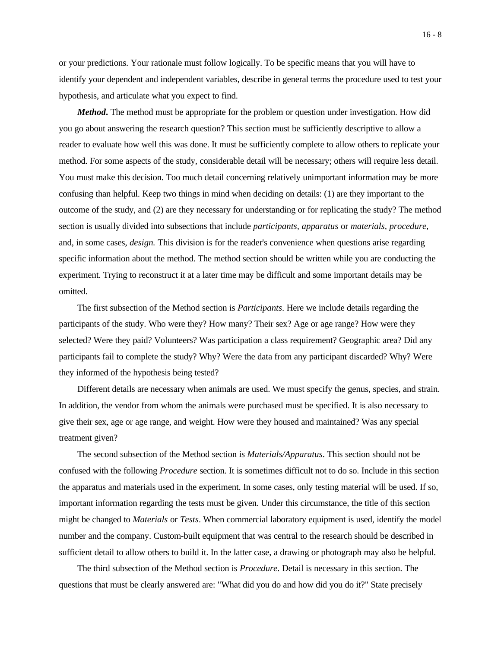or your predictions. Your rationale must follow logically. To be specific means that you will have to identify your dependent and independent variables, describe in general terms the procedure used to test your hypothesis, and articulate what you expect to find.

*Method*. The method must be appropriate for the problem or question under investigation. How did you go about answering the research question? This section must be sufficiently descriptive to allow a reader to evaluate how well this was done. It must be sufficiently complete to allow others to replicate your method. For some aspects of the study, considerable detail will be necessary; others will require less detail. You must make this decision. Too much detail concerning relatively unimportant information may be more confusing than helpful. Keep two things in mind when deciding on details: (1) are they important to the outcome of the study, and (2) are they necessary for understanding or for replicating the study? The method section is usually divided into subsections that include *participants, apparatus* or *materials, procedure,*  and, in some cases, *design.* This division is for the reader's convenience when questions arise regarding specific information about the method. The method section should be written while you are conducting the experiment. Trying to reconstruct it at a later time may be difficult and some important details may be omitted.

The first subsection of the Method section is *Participants*. Here we include details regarding the participants of the study. Who were they? How many? Their sex? Age or age range? How were they selected? Were they paid? Volunteers? Was participation a class requirement? Geographic area? Did any participants fail to complete the study? Why? Were the data from any participant discarded? Why? Were they informed of the hypothesis being tested?

Different details are necessary when animals are used. We must specify the genus, species, and strain. In addition, the vendor from whom the animals were purchased must be specified. It is also necessary to give their sex, age or age range, and weight. How were they housed and maintained? Was any special treatment given?

The second subsection of the Method section is *Materials/Apparatus*. This section should not be confused with the following *Procedure* section. It is sometimes difficult not to do so. Include in this section the apparatus and materials used in the experiment. In some cases, only testing material will be used. If so, important information regarding the tests must be given. Under this circumstance, the title of this section might be changed to *Materials* or *Tests*. When commercial laboratory equipment is used, identify the model number and the company. Custom-built equipment that was central to the research should be described in sufficient detail to allow others to build it. In the latter case, a drawing or photograph may also be helpful.

The third subsection of the Method section is *Procedure*. Detail is necessary in this section. The questions that must be clearly answered are: "What did you do and how did you do it?" State precisely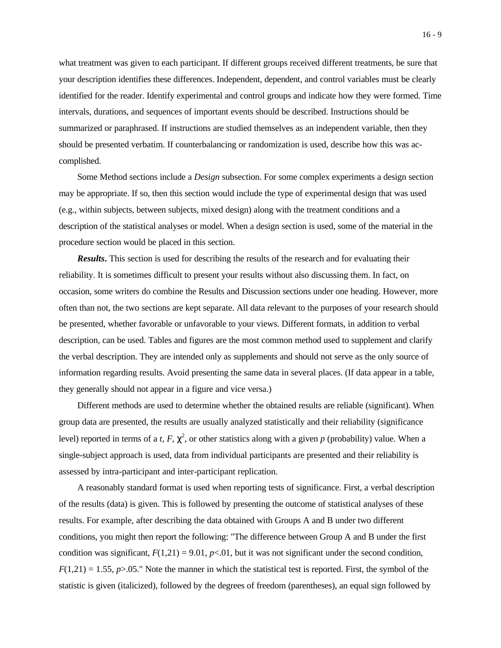what treatment was given to each participant. If different groups received different treatments, be sure that your description identifies these differences. Independent, dependent, and control variables must be clearly identified for the reader. Identify experimental and control groups and indicate how they were formed. Time intervals, durations, and sequences of important events should be described. Instructions should be summarized or paraphrased. If instructions are studied themselves as an independent variable, then they should be presented verbatim. If counterbalancing or randomization is used, describe how this was accomplished.

Some Method sections include a *Design* subsection. For some complex experiments a design section may be appropriate. If so, then this section would include the type of experimental design that was used (e.g., within subjects, between subjects, mixed design) along with the treatment conditions and a description of the statistical analyses or model. When a design section is used, some of the material in the procedure section would be placed in this section.

*Results***.** This section is used for describing the results of the research and for evaluating their reliability. It is sometimes difficult to present your results without also discussing them. In fact, on occasion, some writers do combine the Results and Discussion sections under one heading. However, more often than not, the two sections are kept separate. All data relevant to the purposes of your research should be presented, whether favorable or unfavorable to your views. Different formats, in addition to verbal description, can be used. Tables and figures are the most common method used to supplement and clarify the verbal description. They are intended only as supplements and should not serve as the only source of information regarding results. Avoid presenting the same data in several places. (If data appear in a table, they generally should not appear in a figure and vice versa.)

Different methods are used to determine whether the obtained results are reliable (significant). When group data are presented, the results are usually analyzed statistically and their reliability (significance level) reported in terms of a *t*,  $F$ ,  $\chi^2$ , or other statistics along with a given *p* (probability) value. When a single-subject approach is used, data from individual participants are presented and their reliability is assessed by intra-participant and inter-participant replication.

A reasonably standard format is used when reporting tests of significance. First, a verbal description of the results (data) is given. This is followed by presenting the outcome of statistical analyses of these results. For example, after describing the data obtained with Groups A and B under two different conditions, you might then report the following: "The difference between Group A and B under the first condition was significant,  $F(1,21) = 9.01$ ,  $p < 0.01$ , but it was not significant under the second condition,  $F(1,21) = 1.55$ ,  $p > .05$ ." Note the manner in which the statistical test is reported. First, the symbol of the statistic is given (italicized), followed by the degrees of freedom (parentheses), an equal sign followed by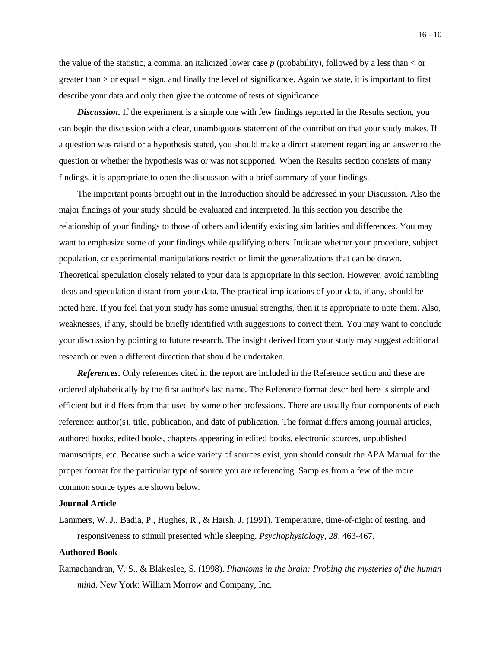the value of the statistic, a comma, an italicized lower case  $p$  (probability), followed by a less than  $\lt$  or greater than > or equal = sign, and finally the level of significance. Again we state, it is important to first describe your data and only then give the outcome of tests of significance.

*Discussion*. If the experiment is a simple one with few findings reported in the Results section, you can begin the discussion with a clear, unambiguous statement of the contribution that your study makes. If a question was raised or a hypothesis stated, you should make a direct statement regarding an answer to the question or whether the hypothesis was or was not supported. When the Results section consists of many findings, it is appropriate to open the discussion with a brief summary of your findings.

The important points brought out in the Introduction should be addressed in your Discussion. Also the major findings of your study should be evaluated and interpreted. In this section you describe the relationship of your findings to those of others and identify existing similarities and differences. You may want to emphasize some of your findings while qualifying others. Indicate whether your procedure, subject population, or experimental manipulations restrict or limit the generalizations that can be drawn. Theoretical speculation closely related to your data is appropriate in this section. However, avoid rambling ideas and speculation distant from your data. The practical implications of your data, if any, should be noted here. If you feel that your study has some unusual strengths, then it is appropriate to note them. Also, weaknesses, if any, should be briefly identified with suggestions to correct them. You may want to conclude your discussion by pointing to future research. The insight derived from your study may suggest additional research or even a different direction that should be undertaken.

*References***.** Only references cited in the report are included in the Reference section and these are ordered alphabetically by the first author's last name. The Reference format described here is simple and efficient but it differs from that used by some other professions. There are usually four components of each reference: author(s), title, publication, and date of publication. The format differs among journal articles, authored books, edited books, chapters appearing in edited books, electronic sources, unpublished manuscripts, etc. Because such a wide variety of sources exist, you should consult the APA Manual for the proper format for the particular type of source you are referencing. Samples from a few of the more common source types are shown below.

## **Journal Article**

Lammers, W. J., Badia, P., Hughes, R., & Harsh, J. (1991). Temperature, time-of-night of testing, and responsiveness to stimuli presented while sleeping. *Psychophysiology, 28,* 463-467.

## **Authored Book**

Ramachandran, V. S., & Blakeslee, S. (1998). *Phantoms in the brain: Probing the mysteries of the human mind*. New York: William Morrow and Company, Inc.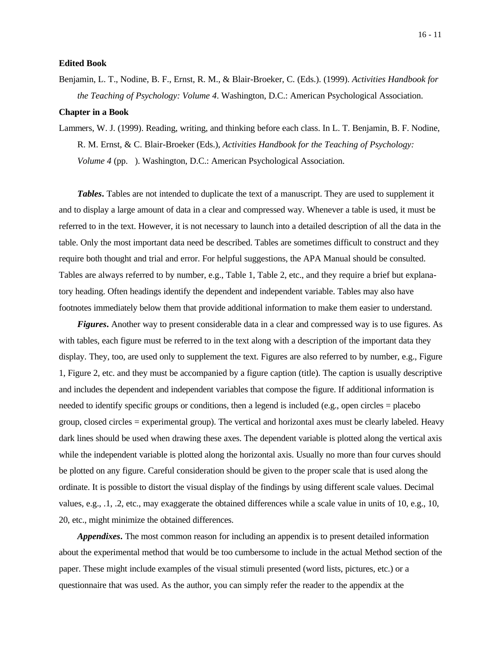Benjamin, L. T., Nodine, B. F., Ernst, R. M., & Blair-Broeker, C. (Eds.). (1999). *Activities Handbook for the Teaching of Psychology: Volume 4*. Washington, D.C.: American Psychological Association.

## **Chapter in a Book**

Lammers, W. J. (1999). Reading, writing, and thinking before each class. In L. T. Benjamin, B. F. Nodine, R. M. Ernst, & C. Blair-Broeker (Eds.), *Activities Handbook for the Teaching of Psychology: Volume 4* (pp. ). Washington, D.C.: American Psychological Association.

*Tables***.** Tables are not intended to duplicate the text of a manuscript. They are used to supplement it and to display a large amount of data in a clear and compressed way. Whenever a table is used, it must be referred to in the text. However, it is not necessary to launch into a detailed description of all the data in the table. Only the most important data need be described. Tables are sometimes difficult to construct and they require both thought and trial and error. For helpful suggestions, the APA Manual should be consulted. Tables are always referred to by number, e.g., Table 1, Table 2, etc., and they require a brief but explanatory heading. Often headings identify the dependent and independent variable. Tables may also have footnotes immediately below them that provide additional information to make them easier to understand.

*Figures***.** Another way to present considerable data in a clear and compressed way is to use figures. As with tables, each figure must be referred to in the text along with a description of the important data they display. They, too, are used only to supplement the text. Figures are also referred to by number, e.g., Figure 1, Figure 2, etc. and they must be accompanied by a figure caption (title). The caption is usually descriptive and includes the dependent and independent variables that compose the figure. If additional information is needed to identify specific groups or conditions, then a legend is included (e.g., open circles = placebo group, closed circles = experimental group). The vertical and horizontal axes must be clearly labeled. Heavy dark lines should be used when drawing these axes. The dependent variable is plotted along the vertical axis while the independent variable is plotted along the horizontal axis. Usually no more than four curves should be plotted on any figure. Careful consideration should be given to the proper scale that is used along the ordinate. It is possible to distort the visual display of the findings by using different scale values. Decimal values, e.g., .1, .2, etc., may exaggerate the obtained differences while a scale value in units of 10, e.g., 10, 20, etc., might minimize the obtained differences.

*Appendixes***.** The most common reason for including an appendix is to present detailed information about the experimental method that would be too cumbersome to include in the actual Method section of the paper. These might include examples of the visual stimuli presented (word lists, pictures, etc.) or a questionnaire that was used. As the author, you can simply refer the reader to the appendix at the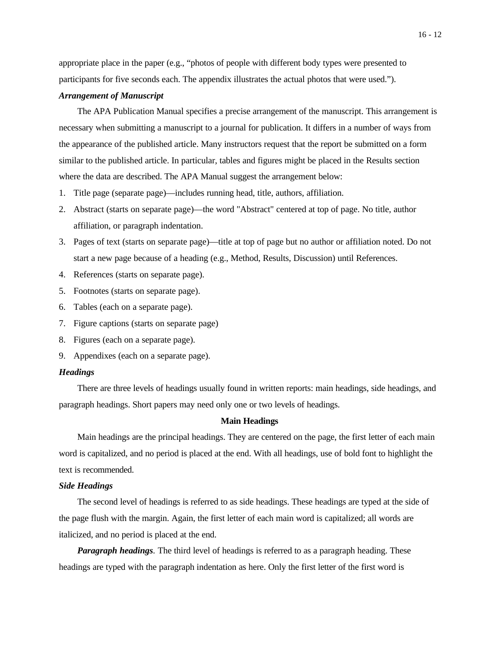appropriate place in the paper (e.g., "photos of people with different body types were presented to participants for five seconds each. The appendix illustrates the actual photos that were used.").

## *Arrangement of Manuscript*

The APA Publication Manual specifies a precise arrangement of the manuscript. This arrangement is necessary when submitting a manuscript to a journal for publication. It differs in a number of ways from the appearance of the published article. Many instructors request that the report be submitted on a form similar to the published article. In particular, tables and figures might be placed in the Results section where the data are described. The APA Manual suggest the arrangement below:

- 1. Title page (separate page)—includes running head, title, authors, affiliation.
- 2. Abstract (starts on separate page)—the word "Abstract" centered at top of page. No title, author affiliation, or paragraph indentation.
- 3. Pages of text (starts on separate page)—title at top of page but no author or affiliation noted. Do not start a new page because of a heading (e.g., Method, Results, Discussion) until References.
- 4. References (starts on separate page).
- 5. Footnotes (starts on separate page).
- 6. Tables (each on a separate page).
- 7. Figure captions (starts on separate page)
- 8. Figures (each on a separate page).
- 9. Appendixes (each on a separate page).

## *Headings*

There are three levels of headings usually found in written reports: main headings, side headings, and paragraph headings. Short papers may need only one or two levels of headings.

## **Main Headings**

Main headings are the principal headings. They are centered on the page, the first letter of each main word is capitalized, and no period is placed at the end. With all headings, use of bold font to highlight the text is recommended.

## *Side Headings*

The second level of headings is referred to as side headings. These headings are typed at the side of the page flush with the margin. Again, the first letter of each main word is capitalized; all words are italicized, and no period is placed at the end.

*Paragraph headings.* The third level of headings is referred to as a paragraph heading. These headings are typed with the paragraph indentation as here. Only the first letter of the first word is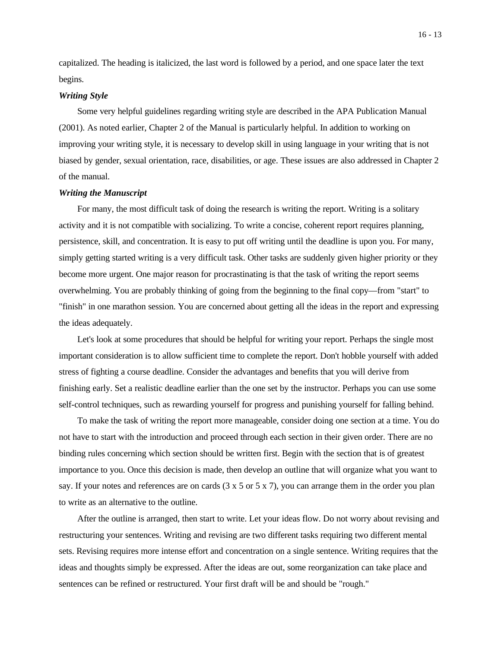capitalized. The heading is italicized, the last word is followed by a period, and one space later the text begins.

## *Writing Style*

Some very helpful guidelines regarding writing style are described in the APA Publication Manual (2001). As noted earlier, Chapter 2 of the Manual is particularly helpful. In addition to working on improving your writing style, it is necessary to develop skill in using language in your writing that is not biased by gender, sexual orientation, race, disabilities, or age. These issues are also addressed in Chapter 2 of the manual.

## *Writing the Manuscript*

For many, the most difficult task of doing the research is writing the report. Writing is a solitary activity and it is not compatible with socializing. To write a concise, coherent report requires planning, persistence, skill, and concentration. It is easy to put off writing until the deadline is upon you. For many, simply getting started writing is a very difficult task. Other tasks are suddenly given higher priority or they become more urgent. One major reason for procrastinating is that the task of writing the report seems overwhelming. You are probably thinking of going from the beginning to the final copy—from "start" to "finish" in one marathon session. You are concerned about getting all the ideas in the report and expressing the ideas adequately.

Let's look at some procedures that should be helpful for writing your report. Perhaps the single most important consideration is to allow sufficient time to complete the report. Don't hobble yourself with added stress of fighting a course deadline. Consider the advantages and benefits that you will derive from finishing early. Set a realistic deadline earlier than the one set by the instructor. Perhaps you can use some self-control techniques, such as rewarding yourself for progress and punishing yourself for falling behind.

To make the task of writing the report more manageable, consider doing one section at a time. You do not have to start with the introduction and proceed through each section in their given order. There are no binding rules concerning which section should be written first. Begin with the section that is of greatest importance to you. Once this decision is made, then develop an outline that will organize what you want to say. If your notes and references are on cards  $(3 \times 5 \text{ or } 5 \times 7)$ , you can arrange them in the order you plan to write as an alternative to the outline.

After the outline is arranged, then start to write. Let your ideas flow. Do not worry about revising and restructuring your sentences. Writing and revising are two different tasks requiring two different mental sets. Revising requires more intense effort and concentration on a single sentence. Writing requires that the ideas and thoughts simply be expressed. After the ideas are out, some reorganization can take place and sentences can be refined or restructured. Your first draft will be and should be "rough."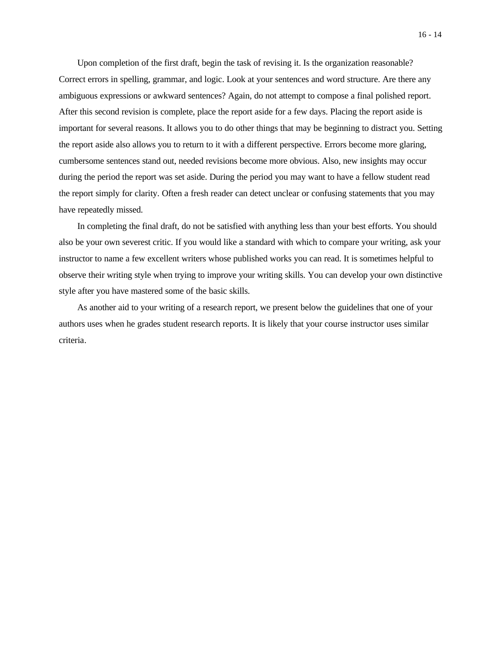Upon completion of the first draft, begin the task of revising it. Is the organization reasonable? Correct errors in spelling, grammar, and logic. Look at your sentences and word structure. Are there any ambiguous expressions or awkward sentences? Again, do not attempt to compose a final polished report. After this second revision is complete, place the report aside for a few days. Placing the report aside is important for several reasons. It allows you to do other things that may be beginning to distract you. Setting the report aside also allows you to return to it with a different perspective. Errors become more glaring, cumbersome sentences stand out, needed revisions become more obvious. Also, new insights may occur during the period the report was set aside. During the period you may want to have a fellow student read the report simply for clarity. Often a fresh reader can detect unclear or confusing statements that you may have repeatedly missed.

In completing the final draft, do not be satisfied with anything less than your best efforts. You should also be your own severest critic. If you would like a standard with which to compare your writing, ask your instructor to name a few excellent writers whose published works you can read. It is sometimes helpful to observe their writing style when trying to improve your writing skills. You can develop your own distinctive style after you have mastered some of the basic skills.

As another aid to your writing of a research report, we present below the guidelines that one of your authors uses when he grades student research reports. It is likely that your course instructor uses similar criteria.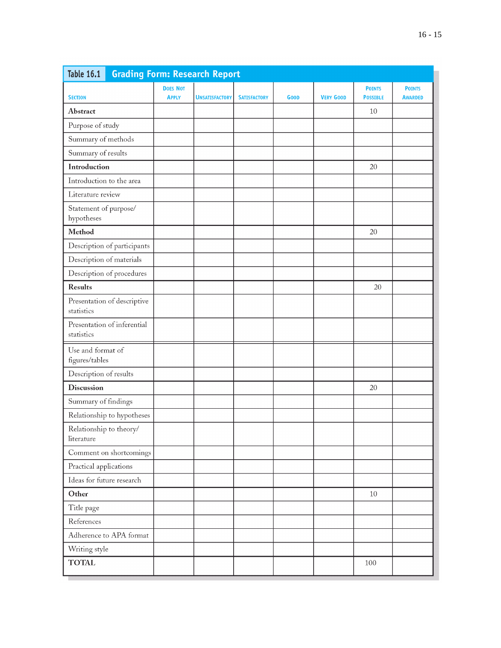| <b>Table 16.1</b><br><b>Grading Form: Research Report</b> |  |                                 |                       |                     |             |                  |                       |                |
|-----------------------------------------------------------|--|---------------------------------|-----------------------|---------------------|-------------|------------------|-----------------------|----------------|
|                                                           |  | <b>DOES NOT</b><br><b>APPLY</b> |                       |                     | <b>GOOD</b> |                  | <b>POINTS</b>         | <b>POINTS</b>  |
| <b>SECTION</b>                                            |  |                                 | <b>UNSATISFACTORY</b> | <b>SATISFACTORY</b> |             | <b>VERY GOOD</b> | <b>POSSIBLE</b><br>10 | <b>AWARDED</b> |
| Abstract                                                  |  |                                 |                       |                     |             |                  |                       |                |
| Purpose of study                                          |  |                                 |                       |                     |             |                  |                       |                |
| Summary of methods                                        |  |                                 |                       |                     |             |                  |                       |                |
| Summary of results                                        |  |                                 |                       |                     |             |                  |                       |                |
| Introduction                                              |  |                                 |                       |                     |             |                  | 20                    |                |
| Introduction to the area                                  |  |                                 |                       |                     |             |                  |                       |                |
| Literature review                                         |  |                                 |                       |                     |             |                  |                       |                |
| Statement of purpose/<br>hypotheses                       |  |                                 |                       |                     |             |                  |                       |                |
| Method                                                    |  |                                 |                       |                     |             |                  | 20                    |                |
| Description of participants                               |  |                                 |                       |                     |             |                  |                       |                |
| Description of materials                                  |  |                                 |                       |                     |             |                  |                       |                |
| Description of procedures                                 |  |                                 |                       |                     |             |                  |                       |                |
| <b>Results</b>                                            |  |                                 |                       |                     |             |                  | 20                    |                |
| Presentation of descriptive<br>statistics                 |  |                                 |                       |                     |             |                  |                       |                |
| Presentation of inferential<br>statistics                 |  |                                 |                       |                     |             |                  |                       |                |
| Use and format of<br>figures/tables                       |  |                                 |                       |                     |             |                  |                       |                |
| Description of results                                    |  |                                 |                       |                     |             |                  |                       |                |
| <b>Discussion</b>                                         |  |                                 |                       |                     |             |                  | 20                    |                |
| Summary of findings                                       |  |                                 |                       |                     |             |                  |                       |                |
| Relationship to hypotheses                                |  |                                 |                       |                     |             |                  |                       |                |
| Relationship to theory/<br>literature                     |  |                                 |                       |                     |             |                  |                       |                |
| Comment on shortcomings                                   |  |                                 |                       |                     |             |                  |                       |                |
| Practical applications                                    |  |                                 |                       |                     |             |                  |                       |                |
| Ideas for future research                                 |  |                                 |                       |                     |             |                  |                       |                |
| Other                                                     |  |                                 |                       |                     |             |                  | 10                    |                |
| Title page                                                |  |                                 |                       |                     |             |                  |                       |                |
| References                                                |  |                                 |                       |                     |             |                  |                       |                |
| Adherence to APA format                                   |  |                                 |                       |                     |             |                  |                       |                |
| Writing style                                             |  |                                 |                       |                     |             |                  |                       |                |
| <b>TOTAL</b>                                              |  |                                 |                       |                     |             |                  | 100                   |                |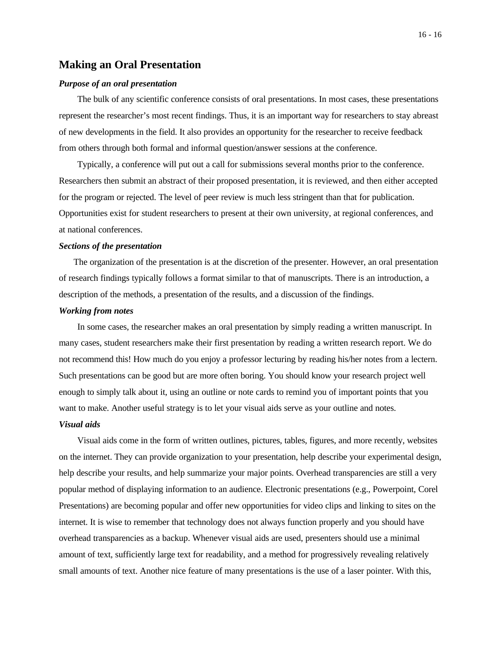## **Making an Oral Presentation**

## *Purpose of an oral presentation*

The bulk of any scientific conference consists of oral presentations. In most cases, these presentations represent the researcher's most recent findings. Thus, it is an important way for researchers to stay abreast of new developments in the field. It also provides an opportunity for the researcher to receive feedback from others through both formal and informal question/answer sessions at the conference.

Typically, a conference will put out a call for submissions several months prior to the conference. Researchers then submit an abstract of their proposed presentation, it is reviewed, and then either accepted for the program or rejected. The level of peer review is much less stringent than that for publication. Opportunities exist for student researchers to present at their own university, at regional conferences, and at national conferences.

#### *Sections of the presentation*

The organization of the presentation is at the discretion of the presenter. However, an oral presentation of research findings typically follows a format similar to that of manuscripts. There is an introduction, a description of the methods, a presentation of the results, and a discussion of the findings.

#### *Working from notes*

In some cases, the researcher makes an oral presentation by simply reading a written manuscript. In many cases, student researchers make their first presentation by reading a written research report. We do not recommend this! How much do you enjoy a professor lecturing by reading his/her notes from a lectern. Such presentations can be good but are more often boring. You should know your research project well enough to simply talk about it, using an outline or note cards to remind you of important points that you want to make. Another useful strategy is to let your visual aids serve as your outline and notes.

## *Visual aids*

Visual aids come in the form of written outlines, pictures, tables, figures, and more recently, websites on the internet. They can provide organization to your presentation, help describe your experimental design, help describe your results, and help summarize your major points. Overhead transparencies are still a very popular method of displaying information to an audience. Electronic presentations (e.g., Powerpoint, Corel Presentations) are becoming popular and offer new opportunities for video clips and linking to sites on the internet. It is wise to remember that technology does not always function properly and you should have overhead transparencies as a backup. Whenever visual aids are used, presenters should use a minimal amount of text, sufficiently large text for readability, and a method for progressively revealing relatively small amounts of text. Another nice feature of many presentations is the use of a laser pointer. With this,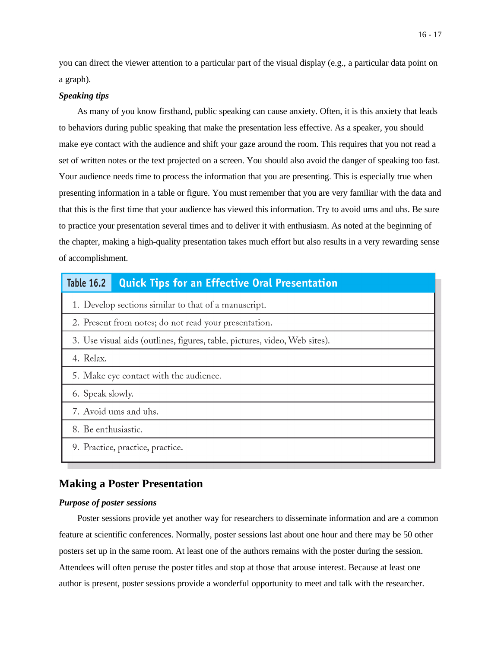you can direct the viewer attention to a particular part of the visual display (e.g., a particular data point on a graph).

## *Speaking tips*

As many of you know firsthand, public speaking can cause anxiety. Often, it is this anxiety that leads to behaviors during public speaking that make the presentation less effective. As a speaker, you should make eye contact with the audience and shift your gaze around the room. This requires that you not read a set of written notes or the text projected on a screen. You should also avoid the danger of speaking too fast. Your audience needs time to process the information that you are presenting. This is especially true when presenting information in a table or figure. You must remember that you are very familiar with the data and that this is the first time that your audience has viewed this information. Try to avoid ums and uhs. Be sure to practice your presentation several times and to deliver it with enthusiasm. As noted at the beginning of the chapter, making a high-quality presentation takes much effort but also results in a very rewarding sense of accomplishment.

#### **Quick Tips for an Effective Oral Presentation Table 16.2**

- 1. Develop sections similar to that of a manuscript.
- 2. Present from notes; do not read your presentation.
- 3. Use visual aids (outlines, figures, table, pictures, video, Web sites).
- 4. Relax.
- 5. Make eye contact with the audience.
- 6. Speak slowly.
- 7. Avoid ums and uhs.
- 8. Be enthusiastic.
- 9. Practice, practice, practice.

## **Making a Poster Presentation**

## *Purpose of poster sessions*

Poster sessions provide yet another way for researchers to disseminate information and are a common feature at scientific conferences. Normally, poster sessions last about one hour and there may be 50 other posters set up in the same room. At least one of the authors remains with the poster during the session. Attendees will often peruse the poster titles and stop at those that arouse interest. Because at least one author is present, poster sessions provide a wonderful opportunity to meet and talk with the researcher.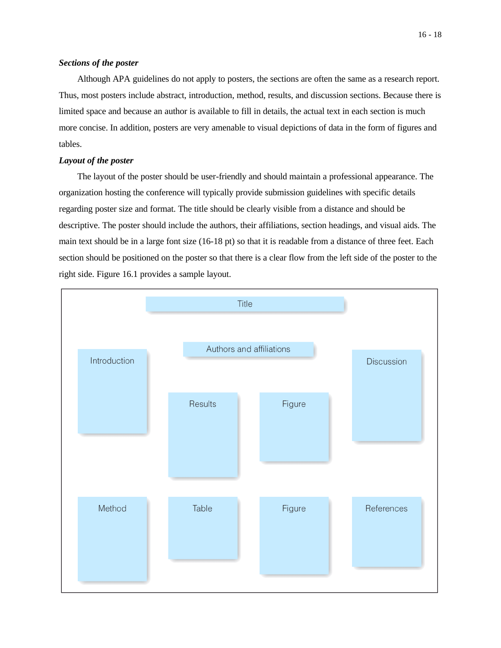## *Sections of the poster*

Although APA guidelines do not apply to posters, the sections are often the same as a research report. Thus, most posters include abstract, introduction, method, results, and discussion sections. Because there is limited space and because an author is available to fill in details, the actual text in each section is much more concise. In addition, posters are very amenable to visual depictions of data in the form of figures and tables.

## *Layout of the poster*

The layout of the poster should be user-friendly and should maintain a professional appearance. The organization hosting the conference will typically provide submission guidelines with specific details regarding poster size and format. The title should be clearly visible from a distance and should be descriptive. The poster should include the authors, their affiliations, section headings, and visual aids. The main text should be in a large font size (16-18 pt) so that it is readable from a distance of three feet. Each section should be positioned on the poster so that there is a clear flow from the left side of the poster to the right side. Figure 16.1 provides a sample layout.

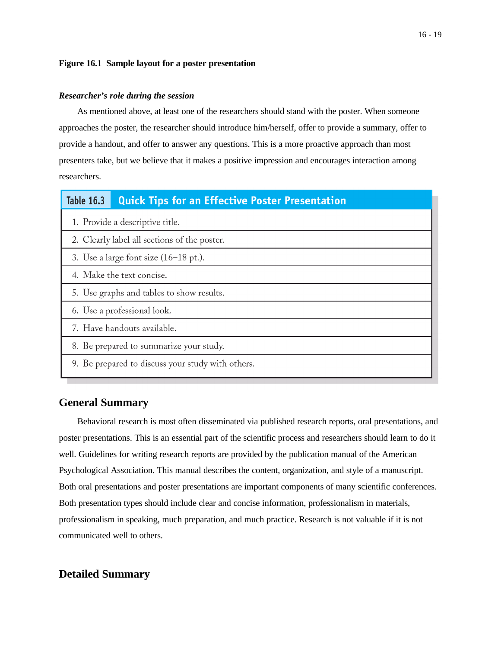## **Figure 16.1 Sample layout for a poster presentation**

## *Researcher's role during the session*

As mentioned above, at least one of the researchers should stand with the poster. When someone approaches the poster, the researcher should introduce him/herself, offer to provide a summary, offer to provide a handout, and offer to answer any questions. This is a more proactive approach than most presenters take, but we believe that it makes a positive impression and encourages interaction among researchers.

| <b>Quick Tips for an Effective Poster Presentation</b><br><b>Table 16.3</b> |  |  |  |  |  |
|-----------------------------------------------------------------------------|--|--|--|--|--|
| 1. Provide a descriptive title.                                             |  |  |  |  |  |
| 2. Clearly label all sections of the poster.                                |  |  |  |  |  |
| 3. Use a large font size $(16-18 \text{ pt.})$ .                            |  |  |  |  |  |
| 4. Make the text concise.                                                   |  |  |  |  |  |
| 5. Use graphs and tables to show results.                                   |  |  |  |  |  |
| 6. Use a professional look.                                                 |  |  |  |  |  |
| 7. Have handouts available.                                                 |  |  |  |  |  |
| 8. Be prepared to summarize your study.                                     |  |  |  |  |  |
| 9. Be prepared to discuss your study with others.                           |  |  |  |  |  |

## **General Summary**

Behavioral research is most often disseminated via published research reports, oral presentations, and poster presentations. This is an essential part of the scientific process and researchers should learn to do it well. Guidelines for writing research reports are provided by the publication manual of the American Psychological Association. This manual describes the content, organization, and style of a manuscript. Both oral presentations and poster presentations are important components of many scientific conferences. Both presentation types should include clear and concise information, professionalism in materials, professionalism in speaking, much preparation, and much practice. Research is not valuable if it is not communicated well to others.

## **Detailed Summary**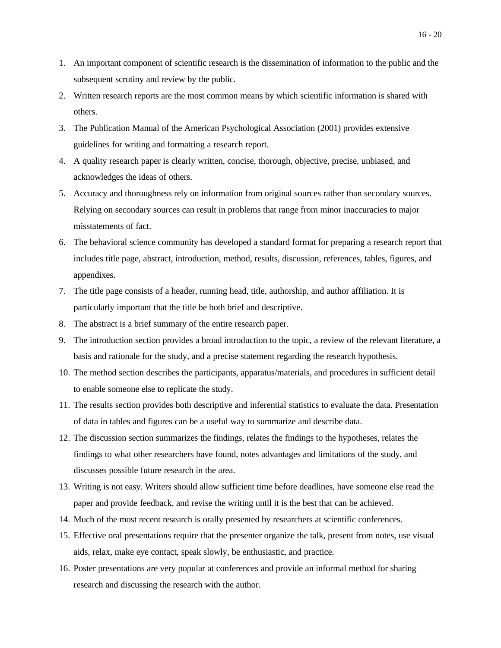- 1. An important component of scientific research is the dissemination of information to the public and the subsequent scrutiny and review by the public.
- 2. Written research reports are the most common means by which scientific information is shared with others.
- 3. The Publication Manual of the American Psychological Association (2001) provides extensive guidelines for writing and formatting a research report.
- 4. A quality research paper is clearly written, concise, thorough, objective, precise, unbiased, and acknowledges the ideas of others.
- 5. Accuracy and thoroughness rely on information from original sources rather than secondary sources. Relying on secondary sources can result in problems that range from minor inaccuracies to major misstatements of fact.
- 6. The behavioral science community has developed a standard format for preparing a research report that includes title page, abstract, introduction, method, results, discussion, references, tables, figures, and appendixes.
- 7. The title page consists of a header, running head, title, authorship, and author affiliation. It is particularly important that the title be both brief and descriptive.
- 8. The abstract is a brief summary of the entire research paper.
- 9. The introduction section provides a broad introduction to the topic, a review of the relevant literature, a basis and rationale for the study, and a precise statement regarding the research hypothesis.
- 10. The method section describes the participants, apparatus/materials, and procedures in sufficient detail to enable someone else to replicate the study.
- 11. The results section provides both descriptive and inferential statistics to evaluate the data. Presentation of data in tables and figures can be a useful way to summarize and describe data.
- 12. The discussion section summarizes the findings, relates the findings to the hypotheses, relates the findings to what other researchers have found, notes advantages and limitations of the study, and discusses possible future research in the area.
- 13. Writing is not easy. Writers should allow sufficient time before deadlines, have someone else read the paper and provide feedback, and revise the writing until it is the best that can be achieved.
- 14. Much of the most recent research is orally presented by researchers at scientific conferences.
- 15. Effective oral presentations require that the presenter organize the talk, present from notes, use visual aids, relax, make eye contact, speak slowly, be enthusiastic, and practice.
- 16. Poster presentations are very popular at conferences and provide an informal method for sharing research and discussing the research with the author.